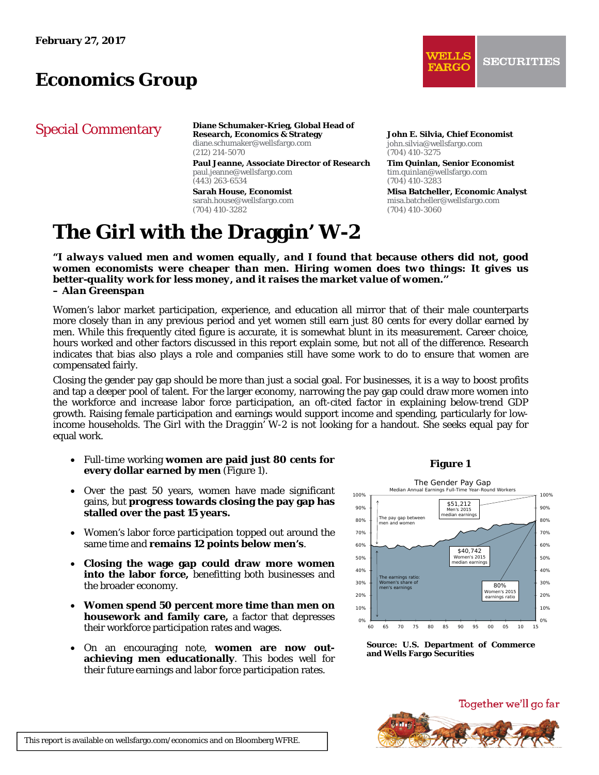# *Economics Group*

# Special Commentary

**Diane Schumaker-Krieg, Global Head of Research, Economics & Strategy** 

diane.schumaker@wellsfargo.com (212) 214-5070 **Paul Jeanne, Associate Director of Research** 

paul.jeanne@wellsfargo.com (443) 263-6534

**Sarah House, Economist**  sarah.house@wellsfargo.com (704) 410-3282

# **The Girl with the Draggin' W-2**

**John E. Silvia, Chief Economist**  john.silvia@wellsfargo.com (704) 410-3275

**Tim Quinlan, Senior Economist**  tim.quinlan@wellsfargo.com (704) 410-3283

**Misa Batcheller, Economic Analyst**  misa.batcheller@wellsfargo.com (704) 410-3060

*"I always valued men and women equally, and I found that because others did not, good women economists were cheaper than men. Hiring women does two things: It gives us better-quality work for less money, and it raises the market value of women.'' – Alan Greenspan* 

Women's labor market participation, experience, and education all mirror that of their male counterparts more closely than in any previous period and yet women still earn just 80 cents for every dollar earned by men. While this frequently cited figure is accurate, it is somewhat blunt in its measurement. Career choice, hours worked and other factors discussed in this report explain some, but not all of the difference. Research indicates that bias also plays a role and companies still have some work to do to ensure that women are compensated fairly.

Closing the gender pay gap should be more than just a social goal. For businesses, it is a way to boost profits and tap a deeper pool of talent. For the larger economy, narrowing the pay gap could draw more women into the workforce and increase labor force participation, an oft-cited factor in explaining below-trend GDP growth. Raising female participation and earnings would support income and spending, particularly for lowincome households. *The Girl with the Draggin' W-2* is not looking for a handout. She seeks equal pay for equal work.

- Full-time working **women are paid just 80 cents for every dollar earned by men** (Figure 1).
- Over the past 50 years, women have made significant gains, but **progress towards closing the pay gap has stalled over the past 15 years.**
- Women's labor force participation topped out around the same time and **remains 12 points below men's**.
- **Closing the wage gap could draw more women into the labor force,** benefitting both businesses and the broader economy.
- **Women spend 50 percent more time than men on housework and family care,** a factor that depresses their workforce participation rates and wages.
- On an encouraging note, **women are now outachieving men educationally**. This bodes well for their future earnings and labor force participation rates.

### **Figure 1**



**Source: U.S. Department of Commerce and Wells Fargo Securities** 



This report is available on wellsfargo.com/economics and on Bloomberg WFRE.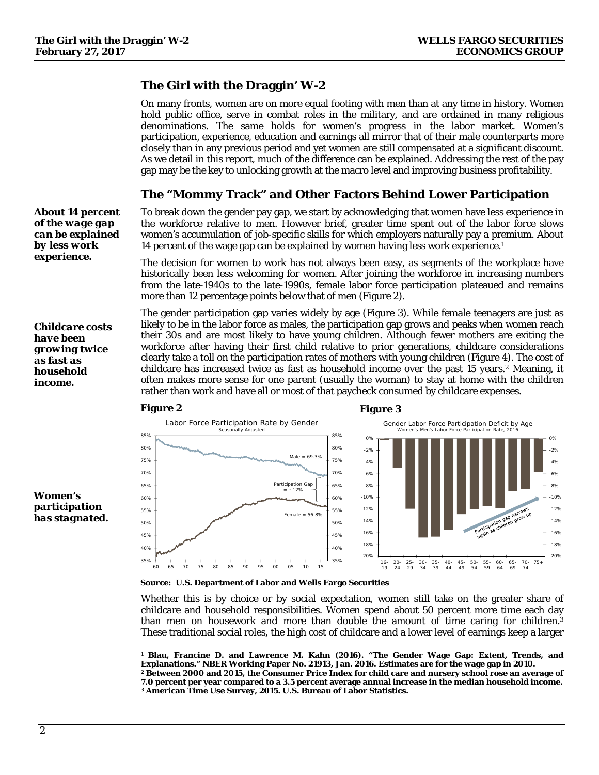-20% -18% -16% -14% -12% -10% -8% -6% -4% -2% 0%

65-  $69$ 70- 74 75+

# **The Girl with the Draggin' W-2**

On many fronts, women are on more equal footing with men than at any time in history. Women hold public office, serve in combat roles in the military, and are ordained in many religious denominations. The same holds for women's progress in the labor market. Women's participation, experience, education and earnings all mirror that of their male counterparts more closely than in any previous period and yet women are still compensated at a significant discount. As we detail in this report, much of the difference can be explained. Addressing the rest of the pay gap may be the key to unlocking growth at the macro level and improving business profitability.

# **The "Mommy Track" and Other Factors Behind Lower Participation**

To break down the gender pay gap, we start by acknowledging that women have less experience in the workforce relative to men. However brief, greater time spent out of the labor force slows women's accumulation of job-specific skills for which employers naturally pay a premium. About 14 percent of the wage gap can be explained by women having less work experience.1

The decision for women to work has not always been easy, as segments of the workplace have historically been less welcoming for women. After joining the workforce in increasing numbers from the late-1940s to the late-1990s, female labor force participation plateaued and remains more than 12 percentage points below that of men (Figure 2).

The gender participation gap varies widely by age (Figure 3). While female teenagers are just as likely to be in the labor force as males, the participation gap grows and peaks when women reach their 30s and are most likely to have young children. Although fewer mothers are exiting the workforce after having their first child relative to prior generations, childcare considerations clearly take a toll on the participation rates of mothers with young children (Figure 4). The cost of childcare has increased twice as fast as household income over the past 15 years.2 Meaning, it often makes more sense for one parent (usually the woman) to stay at home with the children rather than work and have all or most of that paycheck consumed by childcare expenses.



*Women's participation has stagnated.* 

*About 14 percent of the wage gap can be explained by less work experience.* 

*Childcare costs have been growing twice as fast as household income.* 

1

### **Source: U.S. Department of Labor and Wells Fargo Securities**

Whether this is by choice or by social expectation, women still take on the greater share of childcare and household responsibilities. Women spend about 50 percent more time each day than men on housework and more than double the amount of time caring for children.3 These traditional social roles, the high cost of childcare and a lower level of earnings keep a larger

**<sup>1</sup> Blau, Francine D. and Lawrence M. Kahn (2016). "The Gender Wage Gap: Extent, Trends, and**  Explanations." NBER Working Paper No. 21913, Jan. 2016. Estimates are for the wage gap in 2010.<br><sup>2</sup> Between 2000 and 2015, the Consumer Price Index for child care and nursery school rose an average of

**<sup>7.0</sup> percent per year compared to a 3.5 percent average annual increase in the median household income. 3 American Time Use Survey, 2015. U.S. Bureau of Labor Statistics.**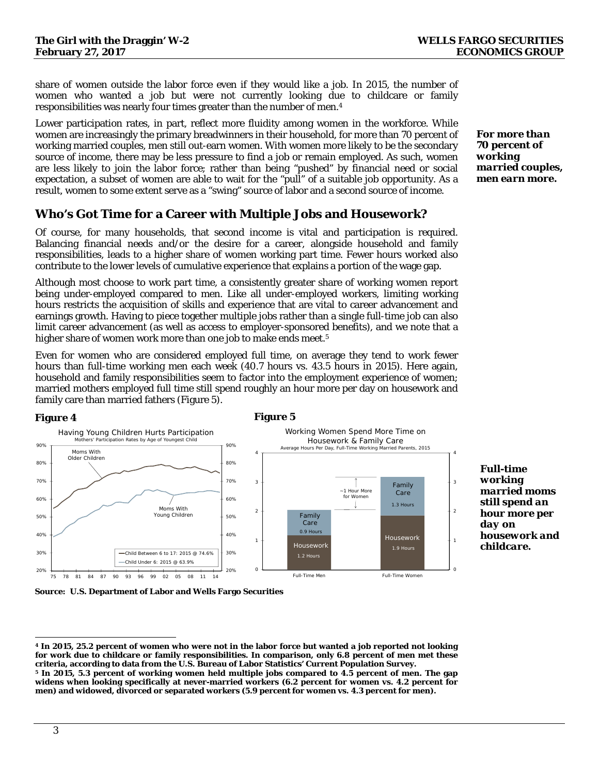share of women outside the labor force even if they would like a job. In 2015, the number of women who wanted a job but were not currently looking due to childcare or family responsibilities was nearly four times greater than the number of men.4

Lower participation rates, in part, reflect more fluidity among women in the workforce. While women are increasingly the primary breadwinners in their household, for more than 70 percent of working married couples, men still out-earn women. With women more likely to be the secondary source of income, there may be less pressure to find a job or remain employed. As such, women are less likely to join the labor force; rather than being "pushed" by financial need or social expectation, a subset of women are able to wait for the "pull" of a suitable job opportunity. As a result, women to some extent serve as a "swing" source of labor and a second source of income.

# **Who's Got Time for a Career with Multiple Jobs and Housework?**

Of course, for many households, that second income is vital and participation is required. Balancing financial needs and/or the desire for a career, alongside household and family responsibilities, leads to a higher share of women working part time. Fewer hours worked also contribute to the lower levels of cumulative experience that explains a portion of the wage gap.

Although most choose to work part time, a consistently greater share of working women report being under-employed compared to men. Like all under-employed workers, limiting working hours restricts the acquisition of skills and experience that are vital to career advancement and earnings growth. Having to piece together multiple jobs rather than a single full-time job can also limit career advancement (as well as access to employer-sponsored benefits), and we note that a higher share of women work more than one job to make ends meet.<sup>5</sup>

Even for women who are considered employed full time, on average they tend to work fewer hours than full-time working men each week (40.7 hours vs. 43.5 hours in 2015). Here again, household and family responsibilities seem to factor into the employment experience of women; married mothers employed full time still spend roughly an hour more per day on housework and family care than married fathers (Figure 5).



**Source: U.S. Department of Labor and Wells Fargo Securities** 

*For more than 70 percent of working married couples, men earn more.* 

*Full-time working* 

*day on* 

*married moms still spend an hour more per* 

*housework and childcare.* 

 $\overline{a}$ **4 In 2015, 25.2 percent of women who were not in the labor force but wanted a job reported not looking for work due to childcare or family responsibilities. In comparison, only 6.8 percent of men met these** 

**criteria, according to data from the U.S. Bureau of Labor Statistics' Current Population Survey. 5 In 2015, 5.3 percent of working women held multiple jobs compared to 4.5 percent of men. The gap widens when looking specifically at never-married workers (6.2 percent for women vs. 4.2 percent for men) and widowed, divorced or separated workers (5.9 percent for women vs. 4.3 percent for men).**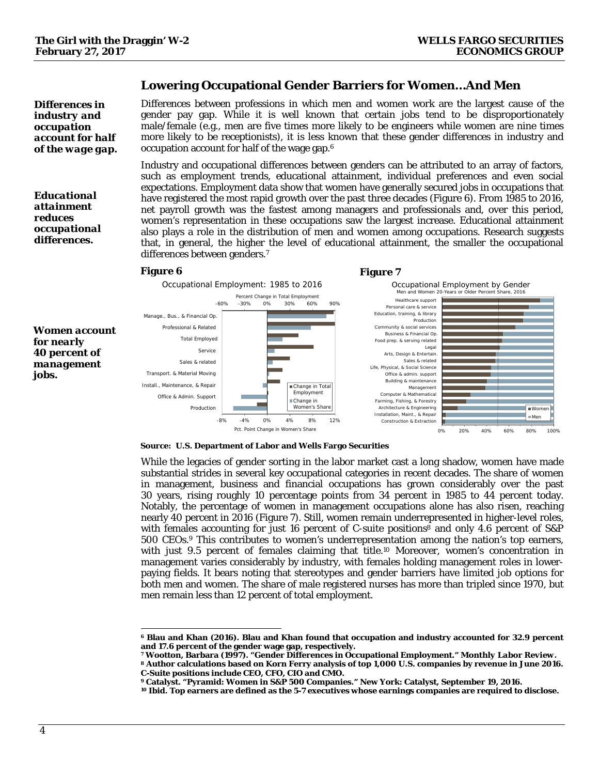### **Lowering Occupational Gender Barriers for Women…And Men**

*Differences in industry and occupation account for half of the wage gap.* 

*Educational attainment reduces occupational differences.* 

*jobs.*

Differences between professions in which men and women work are the largest cause of the gender pay gap. While it is well known that certain jobs tend to be disproportionately male/female (e.g., men are five times more likely to be engineers while women are nine times more likely to be receptionists), it is less known that these gender differences in industry and occupation account for half of the wage gap.6

Industry and occupational differences between genders can be attributed to an array of factors, such as employment trends, educational attainment, individual preferences and even social expectations. Employment data show that women have generally secured jobs in occupations that have registered the most rapid growth over the past three decades (Figure 6). From 1985 to 2016, net payroll growth was the fastest among managers and professionals and, over this period, women's representation in these occupations saw the largest increase. Educational attainment also plays a role in the distribution of men and women among occupations. Research suggests that, in general, the higher the level of educational attainment, the smaller the occupational differences between genders.7

### **Figure 6** Figure 7



### **Source: U.S. Department of Labor and Wells Fargo Securities**

While the legacies of gender sorting in the labor market cast a long shadow, women have made substantial strides in several key occupational categories in recent decades. The share of women in management, business and financial occupations has grown considerably over the past 30 years, rising roughly 10 percentage points from 34 percent in 1985 to 44 percent today. Notably, the percentage of women in management occupations alone has also risen, reaching nearly 40 percent in 2016 (Figure 7). Still, women remain underrepresented in higher-level roles, with females accounting for just 16 percent of C-suite positions<sup>8</sup> and only 4.6 percent of  $\angle$ 500 CEOs.9 This contributes to women's underrepresentation among the nation's top earners, with just 9.5 percent of females claiming that title.<sup>10</sup> Moreover, women's concentration in management varies considerably by industry, with females holding management roles in lowerpaying fields. It bears noting that stereotypes and gender barriers have limited job options for both men and women. The share of male registered nurses has more than tripled since 1970, but men remain less than 12 percent of total employment.

 $\overline{a}$ **6 Blau and Khan (2016). Blau and Khan found that occupation and industry accounted for 32.9 percent** 

<sup>&</sup>lt;sup>7</sup> Wootton, Barbara (1997). "Gender Differences in Occupational Employment." *Monthly Labor Review*.<br>8 Author calculations based on Korn Ferry analysis of top 1,000 U.S. companies by revenue in June 2016.

**C-Suite positions include CEO, CFO, CIO and CMO.** 

**<sup>9</sup> Catalyst. "Pyramid: Women in S&P 500 Companies." New York: Catalyst, September 19, 2016.**

**<sup>10</sup> Ibid. Top earners are defined as the 5-7 executives whose earnings companies are required to disclose.**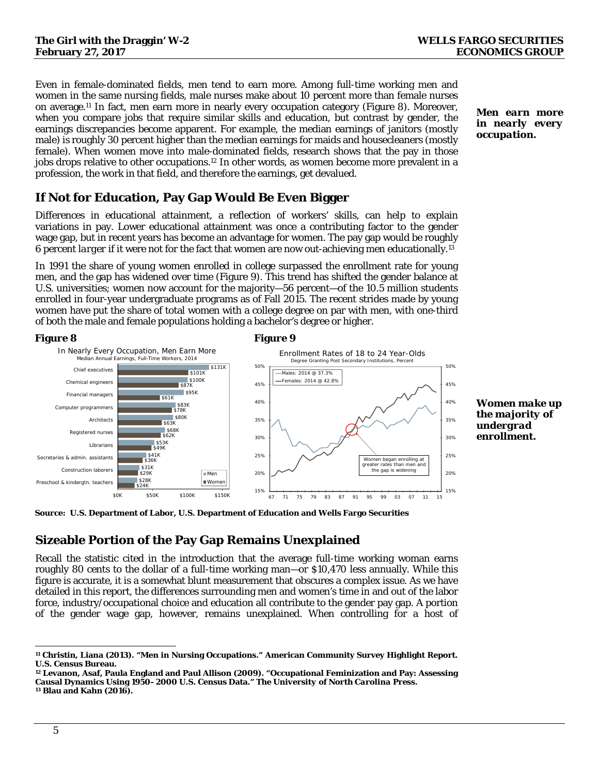Even in female-dominated fields, men tend to earn more. Among full-time working men and women in the same nursing fields, male nurses make about 10 percent more than female nurses on average.11 In fact, men earn more in nearly every occupation category (Figure 8). Moreover, when you compare jobs that require similar skills and education, but contrast by gender, the earnings discrepancies become apparent. For example, the median earnings of janitors (mostly male) is roughly 30 percent higher than the median earnings for maids and housecleaners (mostly female). When women move into male-dominated fields, research shows that the pay in those jobs drops relative to other occupations.12 In other words, as women become more prevalent in a profession, the work in that field, and therefore the earnings, get devalued.

# **If Not for Education, Pay Gap Would Be Even Bigger**

Differences in educational attainment, a reflection of workers' skills, can help to explain variations in pay. Lower educational attainment was once a contributing factor to the gender wage gap, but in recent years has become an advantage for women. The pay gap would be roughly 6 percent *larger* if it were not for the fact that women are now out-achieving men educationally.13

In 1991 the share of young women enrolled in college surpassed the enrollment rate for young men, and the gap has widened over time (Figure 9). This trend has shifted the gender balance at U.S. universities; women now account for the majority—56 percent—of the 10.5 million students enrolled in four-year undergraduate programs as of Fall 2015. The recent strides made by young women have put the share of total women with a college degree on par with men, with one-third of both the male and female populations holding a bachelor's degree or higher.

### **Figure 8** Figure 9 \$24K \$28K \$29K \$31K \$36K \$49K \$62K \$68K  $s63k$ \$78K \$61K \$87K \$100K **S101K** \$41K \$53K  $$80K$  $883K$ **\$95K** \$131K \$0K \$50K \$100K \$150K Preschool & kindergtn. teachers Construction laborer Secretaries & admin. assistants Librarians Registered nurses **Architects** Computer programmers Financial managers Chemical engineers Chief executives In Nearly Every Occupation, Men Earn More Median Annual Earnings, Full-Time Workers, 2014 Men **■Women** 15% 20% 25% 30% 35% 40% 45% 50% 67 71 75 79 83 87 91 95 99 03 07 11 15 Enrollment Rates of 18 to 24 Year-Olds Degree Granting Post Secondary Institutions, Percent Males: 2014 @ 37.3% Females: 2014 @ 42.8% Women began enrolling at greater rates than men and the gap is widening

**Source: U.S. Department of Labor, U.S. Department of Education and Wells Fargo Securities** 

# **Sizeable Portion of the Pay Gap Remains Unexplained**

Recall the statistic cited in the introduction that the average full-time working woman earns roughly 80 cents to the dollar of a full-time working man—or \$10,470 less annually. While this figure is accurate, it is a somewhat blunt measurement that obscures a complex issue. As we have detailed in this report, the differences surrounding men and women's time in and out of the labor force, industry/occupational choice and education all contribute to the gender pay gap. A portion of the gender wage gap, however, remains unexplained. When controlling for a host of *Men earn more in nearly every occupation.* 

*Women make up the majority of undergrad enrollment.* 

15% 20% 25% 30% 35% 40% 45% 50%

 $\overline{a}$ **11 Christin, Liana (2013). "Men in Nursing Occupations." American Community Survey Highlight Report. U.S. Census Bureau.** 

**<sup>12</sup> Levanon, Asaf, Paula England and Paul Allison (2009). "Occupational Feminization and Pay: Assessing Causal Dynamics Using 1950–2000 U.S. Census Data."** *The University of North Carolina Press***. 13 Blau and Kahn (2016).**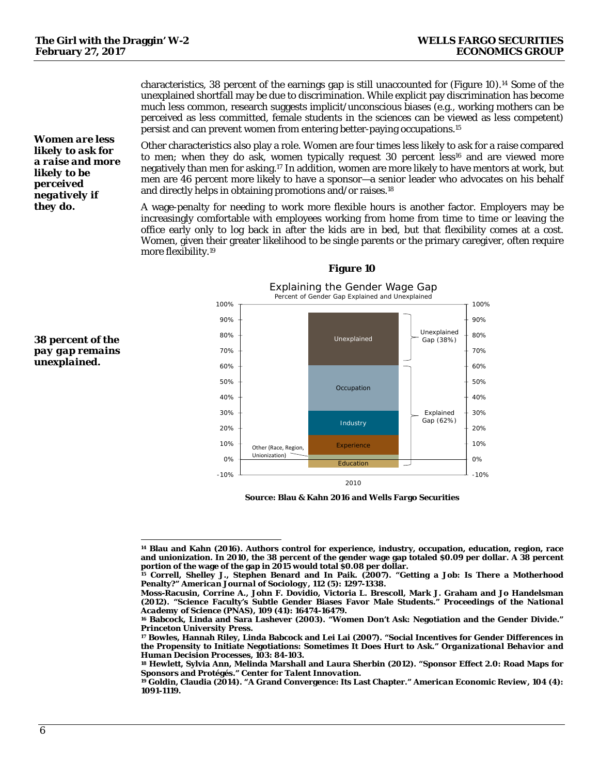characteristics, 38 percent of the earnings gap is still unaccounted for (Figure 10).14 Some of the unexplained shortfall may be due to discrimination. While explicit pay discrimination has become much less common, research suggests implicit/unconscious biases (e.g., working mothers can be perceived as less committed, female students in the sciences can be viewed as less competent) persist and can prevent women from entering better-paying occupations.15

Other characteristics also play a role. Women are four times less likely to ask for a raise compared to men; when they do ask, women typically request 30 percent less<sup>16</sup> and are viewed more negatively than men for asking.17 In addition, women are more likely to have mentors at work, but men are 46 percent more likely to have a sponsor—a senior leader who advocates on his behalf and directly helps in obtaining promotions and/or raises.18

A wage-penalty for needing to work more flexible hours is another factor. Employers may be increasingly comfortable with employees working from home from time to time or leaving the office early only to log back in after the kids are in bed, but that flexibility comes at a cost. Women, given their greater likelihood to be single parents or the primary caregiver, often require more flexibility.19



### **Figure 10**

**Source: Blau & Kahn 2016 and Wells Fargo Securities** 

*Women are less likely to ask for a raise and more likely to be perceived negatively if they do.* 



 $\overline{a}$ **14 Blau and Kahn (2016). Authors control for experience, industry, occupation, education, region, race and unionization. In 2010, the 38 percent of the gender wage gap totaled \$0.09 per dollar. A 38 percent** 

<sup>&</sup>lt;sup>15</sup> Correll, Shelley J., Stephen Benard and In Paik. (2007). "Getting a Job: Is There a Motherhood **Penalty?"** *American Journal of Sociology***, 112 (5): 1297-1338.** 

**Moss-Racusin, Corrine A., John F. Dovidio, Victoria L. Brescoll, Mark J. Graham and Jo Handelsman (2012). "Science Faculty's Subtle Gender Biases Favor Male Students."** *Proceedings of the National* 

*Academy of Science (PNAS)*, 109 (41): 16474-16479.<br><sup>16</sup> Babcock, Linda and Sara Lashever (2003). "Women Don't Ask: Negotiation and the Gender Divide."<br>*Princeton University Press*.

*Princeton University Press***. 17 Bowles, Hannah Riley, Linda Babcock and Lei Lai (2007). "Social Incentives for Gender Differences in the Propensity to Initiate Negotiations: Sometimes It Does Hurt to Ask."** *Organizational Behavior and Human Decision Processes*, 103: 84-103.<br><sup>18</sup> Hewlett, Sylvia Ann, Melinda Marshall and Laura Sherbin (2012). "Sponsor Effect 2.0: Road Maps for

**Sponsors and Protégés."** *Center for Talent Innovation***. 19 Goldin, Claudia (2014). "A Grand Convergence: Its Last Chapter."** *American Economic Review***, 104 (4):** 

**<sup>1091-1119.</sup>**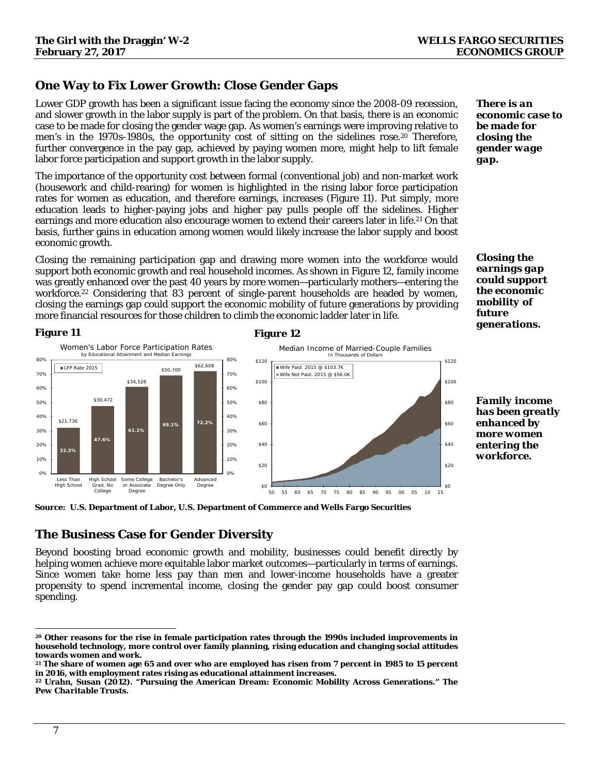# **One Way to Fix Lower Growth: Close Gender Gaps**

Lower GDP growth has been a significant issue facing the economy since the 2008-09 recession, and slower growth in the labor supply is part of the problem. On that basis, there is an economic case to be made for closing the gender wage gap. As women's earnings were improving relative to men's in the 1970s-1980s, the opportunity cost of sitting on the sidelines rose.<sup>20</sup> Therefore, further convergence in the pay gap, achieved by paying women more, might help to lift female labor force participation and support growth in the labor supply.

The importance of the opportunity cost between formal (conventional job) and non-market work (housework and child-rearing) for women is highlighted in the rising labor force participation rates for women as education, and therefore earnings, increases (Figure 11). Put simply, more education leads to higher-paying jobs and higher pay pulls people off the sidelines. Higher earnings and more education also encourage women to extend their careers later in life.21 On that basis, further gains in education among women would likely increase the labor supply and boost economic growth.

Closing the remaining participation gap and drawing more women into the workforce would support both economic growth and real household incomes. As shown in Figure 12, family income was greatly enhanced over the past 40 years by more women—particularly mothers—entering the workforce.22 Considering that 83 percent of single-parent households are headed by women, closing the earnings gap could support the economic mobility of future generations by providing more financial resources for those children to climb the economic ladder later in life.



### **Figure 11** Figure 12



**Source: U.S. Department of Labor, U.S. Department of Commerce and Wells Fargo Securities** 

# **The Business Case for Gender Diversity**

Beyond boosting broad economic growth and mobility, businesses could benefit directly by helping women achieve more equitable labor market outcomes—particularly in terms of earnings. Since women take home less pay than men and lower-income households have a greater propensity to spend incremental income, closing the gender pay gap could boost consumer spending.

*There is an economic case to be made for closing the gender wage gap.* 

*Closing the earnings gap could support the economic mobility of future generations.* 

*Family income has been greatly enhanced by more women entering the workforce.* 

 $\overline{a}$ **20 Other reasons for the rise in female participation rates through the 1990s included improvements in household technology, more control over family planning, rising education and changing social attitudes towards women and work.** 

**<sup>21</sup> The share of women age 65 and over who are employed has risen from 7 percent in 1985 to 15 percent in 2016, with employment rates rising as educational attainment increases. 22 Urahn, Susan (2012). "Pursuing the American Dream: Economic Mobility Across Generations."** *The* 

*Pew Charitable Trusts***.**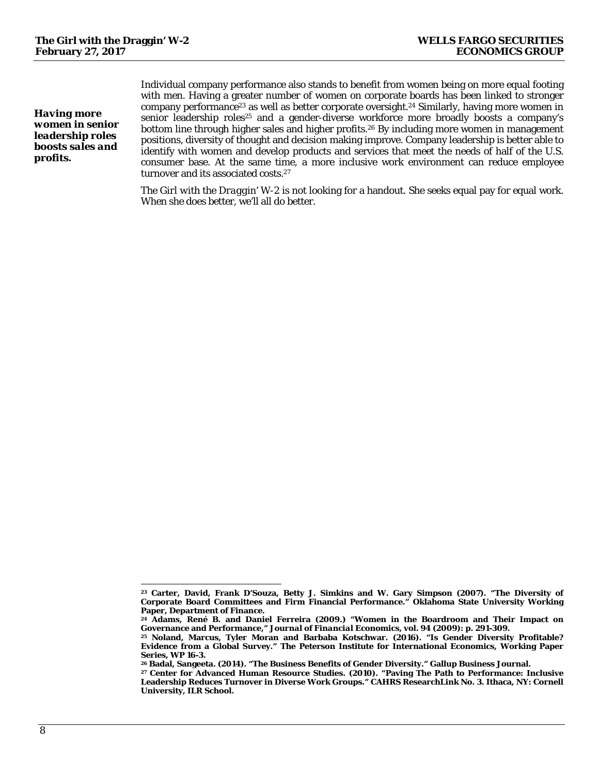*Having more women in senior leadership roles boosts sales and profits.* 

Individual company performance also stands to benefit from women being on more equal footing with men. Having a greater number of women on corporate boards has been linked to stronger company performance23 as well as better corporate oversight.24 Similarly, having more women in senior leadership roles<sup>25</sup> and a gender-diverse workforce more broadly boosts a company's bottom line through higher sales and higher profits.26 By including more women in management positions, diversity of thought and decision making improve. Company leadership is better able to identify with women and develop products and services that meet the needs of half of the U.S. consumer base. At the same time, a more inclusive work environment can reduce employee turnover and its associated costs.<sup>27</sup>

*The Girl with the Draggin' W-2* is not looking for a handout. She seeks equal pay for equal work. When she does better, we'll all do better.

 $\overline{a}$ **23 Carter, David, Frank D'Souza, Betty J. Simkins and W. Gary Simpson (2007). "The Diversity of Corporate Board Committees and Firm Financial Performance." Oklahoma State University Working Paper, Department of Finance.** 

<sup>&</sup>lt;sup>24</sup> Adams, René B. and Daniel Ferreira (2009.) "Women in the Boardroom and Their Impact on Governance and Performance," *Journal of Financial Economics*, vol. 94 (2009): p. 291-309.

**Governance and Performance,"** *Journal of Financial Economics***, vol. 94 (2009): p. 291-309. 25 Noland, Marcus, Tyler Moran and Barbaba Kotschwar. (2016). "Is Gender Diversity Profitable? Evidence from a Global Survey." The Peterson Institute for International Economics, Working Paper Series, WP 16-3.** 

<sup>&</sup>lt;sup>26</sup> Badal, Sangeeta. (2014). "The Business Benefits of Gender Diversity." Gallup Business Journal.<br><sup>27</sup> Center for Advanced Human Resource Studies. (2010). "Paving The Path to Performance: Inclusive

**Leadership Reduces Turnover in Diverse Work Groups." CAHRS ResearchLink No. 3***.* **Ithaca, NY: Cornell University, ILR School.**